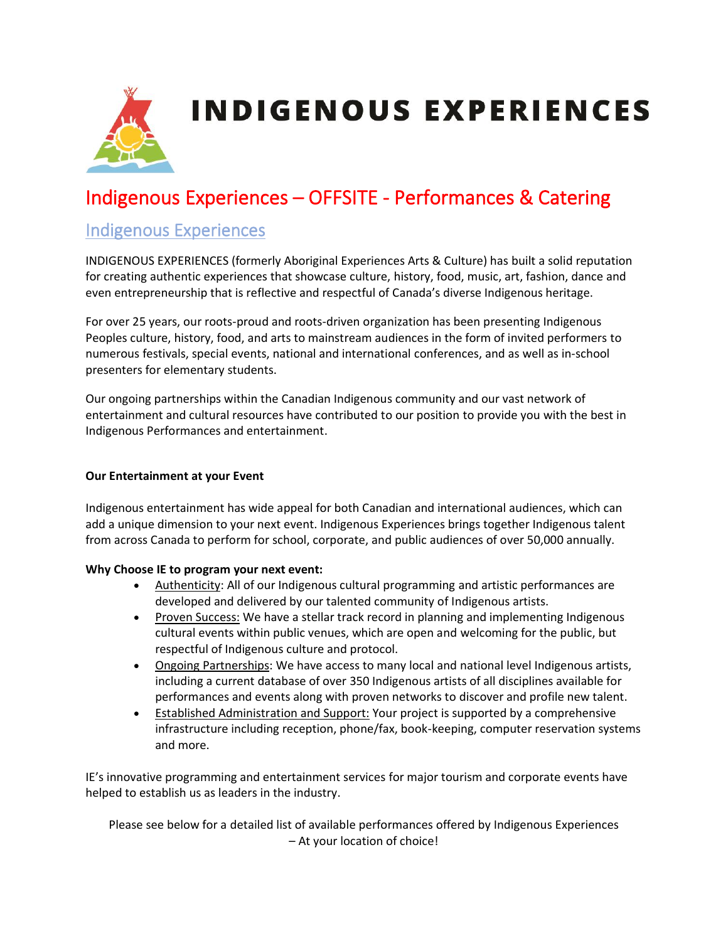

# Indigenous Experiences – OFFSITE - Performances & Catering

#### Indigenous Experiences

INDIGENOUS EXPERIENCES (formerly Aboriginal Experiences Arts & Culture) has built a solid reputation for creating authentic experiences that showcase culture, history, food, music, art, fashion, dance and even entrepreneurship that is reflective and respectful of Canada's diverse Indigenous heritage.

For over 25 years, our roots-proud and roots-driven organization has been presenting Indigenous Peoples culture, history, food, and arts to mainstream audiences in the form of invited performers to numerous festivals, special events, national and international conferences, and as well as in-school presenters for elementary students.

Our ongoing partnerships within the Canadian Indigenous community and our vast network of entertainment and cultural resources have contributed to our position to provide you with the best in Indigenous Performances and entertainment.

#### **Our Entertainment at your Event**

Indigenous entertainment has wide appeal for both Canadian and international audiences, which can add a unique dimension to your next event. Indigenous Experiences brings together Indigenous talent from across Canada to perform for school, corporate, and public audiences of over 50,000 annually.

#### **Why Choose IE to program your next event:**

- Authenticity: All of our Indigenous cultural programming and artistic performances are developed and delivered by our talented community of Indigenous artists.
- Proven Success: We have a stellar track record in planning and implementing Indigenous cultural events within public venues, which are open and welcoming for the public, but respectful of Indigenous culture and protocol.
- Ongoing Partnerships: We have access to many local and national level Indigenous artists, including a current database of over 350 Indigenous artists of all disciplines available for performances and events along with proven networks to discover and profile new talent.
- Established Administration and Support: Your project is supported by a comprehensive infrastructure including reception, phone/fax, book-keeping, computer reservation systems and more.

IE's innovative programming and entertainment services for major tourism and corporate events have helped to establish us as leaders in the industry.

Please see below for a detailed list of available performances offered by Indigenous Experiences – At your location of choice!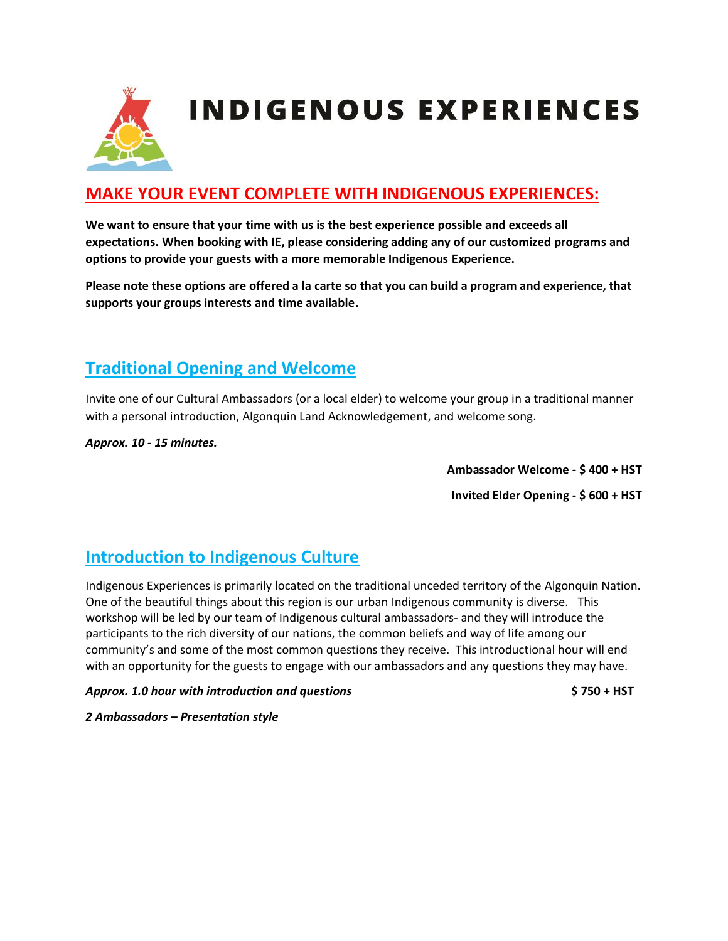

## **MAKE YOUR EVENT COMPLETE WITH INDIGENOUS EXPERIENCES:**

**We want to ensure that your time with us is the best experience possible and exceeds all expectations. When booking with IE, please considering adding any of our customized programs and options to provide your guests with a more memorable Indigenous Experience.** 

**Please note these options are offered a la carte so that you can build a program and experience, that supports your groups interests and time available.**

### **Traditional Opening and Welcome**

Invite one of our Cultural Ambassadors (or a local elder) to welcome your group in a traditional manner with a personal introduction, Algonquin Land Acknowledgement, and welcome song.

*Approx. 10 - 15 minutes.* 

**Ambassador Welcome - \$ 400 + HST** 

**Invited Elder Opening - \$ 600 + HST** 

### **Introduction to Indigenous Culture**

Indigenous Experiences is primarily located on the traditional unceded territory of the Algonquin Nation. One of the beautiful things about this region is our urban Indigenous community is diverse. This workshop will be led by our team of Indigenous cultural ambassadors- and they will introduce the participants to the rich diversity of our nations, the common beliefs and way of life among our community's and some of the most common questions they receive. This introductional hour will end with an opportunity for the guests to engage with our ambassadors and any questions they may have.

*Approx. 1.0 hour with introduction and questions* **\$ 750 + HST** 

*2 Ambassadors – Presentation style*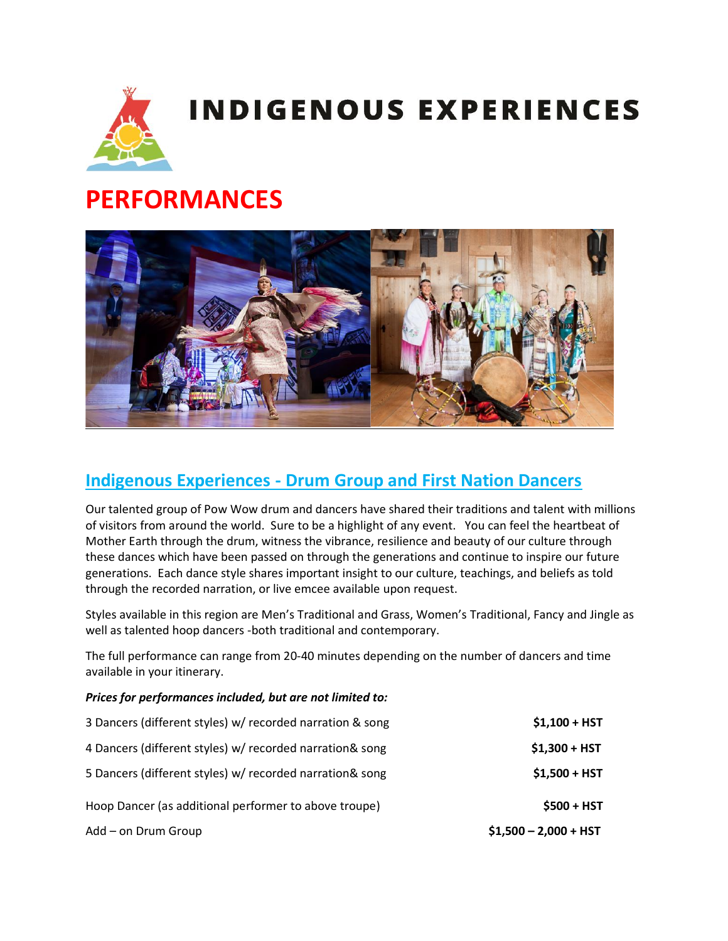

# **PERFORMANCES**



## **Indigenous Experiences - Drum Group and First Nation Dancers**

Our talented group of Pow Wow drum and dancers have shared their traditions and talent with millions of visitors from around the world. Sure to be a highlight of any event. You can feel the heartbeat of Mother Earth through the drum, witness the vibrance, resilience and beauty of our culture through these dances which have been passed on through the generations and continue to inspire our future generations. Each dance style shares important insight to our culture, teachings, and beliefs as told through the recorded narration, or live emcee available upon request.

Styles available in this region are Men's Traditional and Grass, Women's Traditional, Fancy and Jingle as well as talented hoop dancers -both traditional and contemporary.

The full performance can range from 20-40 minutes depending on the number of dancers and time available in your itinerary.

*Prices for performances included, but are not limited to:* 

| 3 Dancers (different styles) w/ recorded narration & song | $$1,100 + HST$         |
|-----------------------------------------------------------|------------------------|
| 4 Dancers (different styles) w/ recorded narration& song  | $$1,300 + HST$         |
| 5 Dancers (different styles) w/ recorded narration& song  | $$1,500 + HST$         |
| Hoop Dancer (as additional performer to above troupe)     | $$500 + HST$           |
| Add - on Drum Group                                       | $$1,500 - 2,000 + HST$ |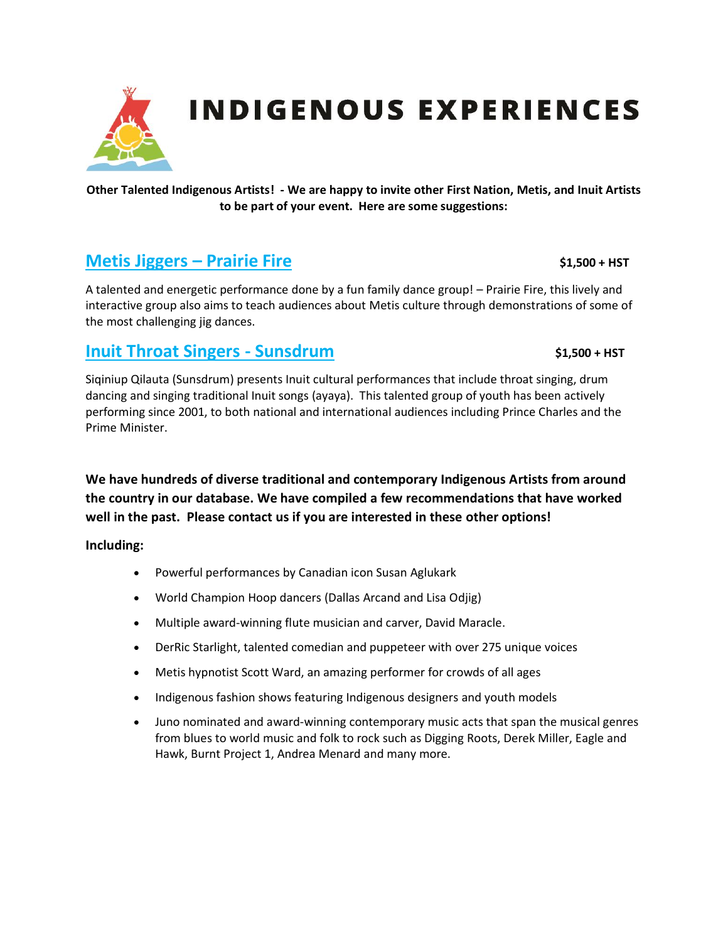

#### **Other Talented Indigenous Artists! - We are happy to invite other First Nation, Metis, and Inuit Artists to be part of your event. Here are some suggestions:**

#### **Metis Jiggers – Prairie Fire**  $\frac{1}{2}$  **\$1,500 + HST**

A talented and energetic performance done by a fun family dance group! – Prairie Fire, this lively and interactive group also aims to teach audiences about Metis culture through demonstrations of some of the most challenging jig dances.

#### **Inuit Throat Singers - Sunsdrum** \$1,500 + HST

Siqiniup Qilauta (Sunsdrum) presents Inuit cultural performances that include throat singing, drum dancing and singing traditional Inuit songs (ayaya). This talented group of youth has been actively performing since 2001, to both national and international audiences including Prince Charles and the Prime Minister.

**We have hundreds of diverse traditional and contemporary Indigenous Artists from around the country in our database. We have compiled a few recommendations that have worked well in the past. Please contact us if you are interested in these other options!**

**Including:** 

- Powerful performances by Canadian icon Susan Aglukark
- World Champion Hoop dancers (Dallas Arcand and Lisa Odjig)
- Multiple award-winning flute musician and carver, David Maracle.
- DerRic Starlight, talented comedian and puppeteer with over 275 unique voices
- Metis hypnotist Scott Ward, an amazing performer for crowds of all ages
- Indigenous fashion shows featuring Indigenous designers and youth models
- Juno nominated and award-winning contemporary music acts that span the musical genres from blues to world music and folk to rock such as Digging Roots, Derek Miller, Eagle and Hawk, Burnt Project 1, Andrea Menard and many more.